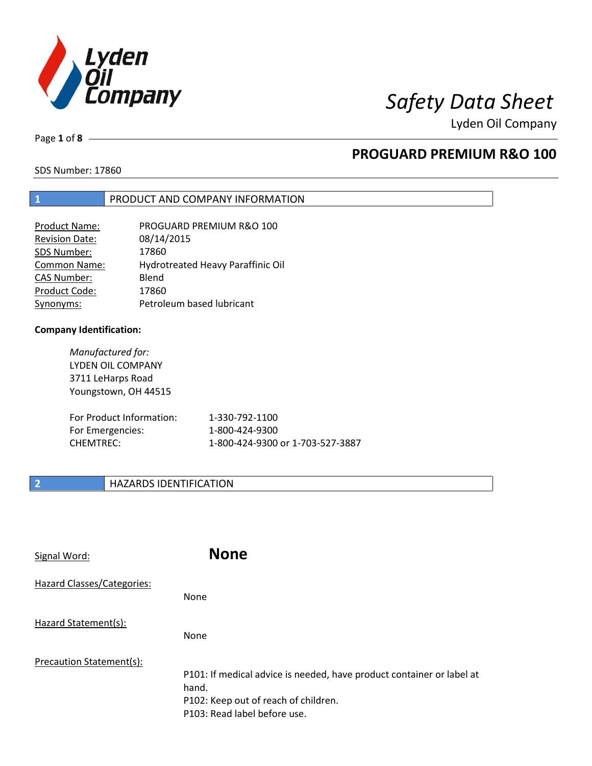

Lyden Oil Company

Page **1** of **8**

## **PROGUARD PREMIUM R&O 100**

SDS Number: 17860

### **1** PRODUCT AND COMPANY INFORMATION

| Product Name:         | PROGUARD PREMIUM R&O 100          |
|-----------------------|-----------------------------------|
| <b>Revision Date:</b> | 08/14/2015                        |
| SDS Number:           | 17860                             |
| Common Name:          | Hydrotreated Heavy Paraffinic Oil |
| <b>CAS Number:</b>    | Blend                             |
| Product Code:         | 17860                             |
| Synonyms:             | Petroleum based lubricant         |

### **Company Identification:**

*Manufactured for:*  LYDEN OIL COMPANY 3711 LeHarps Road Youngstown, OH 44515

| For Product Information: | 1-330-792-1100                   |
|--------------------------|----------------------------------|
| For Emergencies:         | 1-800-424-9300                   |
| CHEMTREC:                | 1-800-424-9300 or 1-703-527-3887 |

### **2 HAZARDS IDENTIFICATION**

| Signal Word:               | <b>None</b>                                                                                                                                            |
|----------------------------|--------------------------------------------------------------------------------------------------------------------------------------------------------|
| Hazard Classes/Categories: | <b>None</b>                                                                                                                                            |
| Hazard Statement(s):       | <b>None</b>                                                                                                                                            |
| Precaution Statement(s):   | P101: If medical advice is needed, have product container or label at<br>hand.<br>P102: Keep out of reach of children.<br>P103: Read label before use. |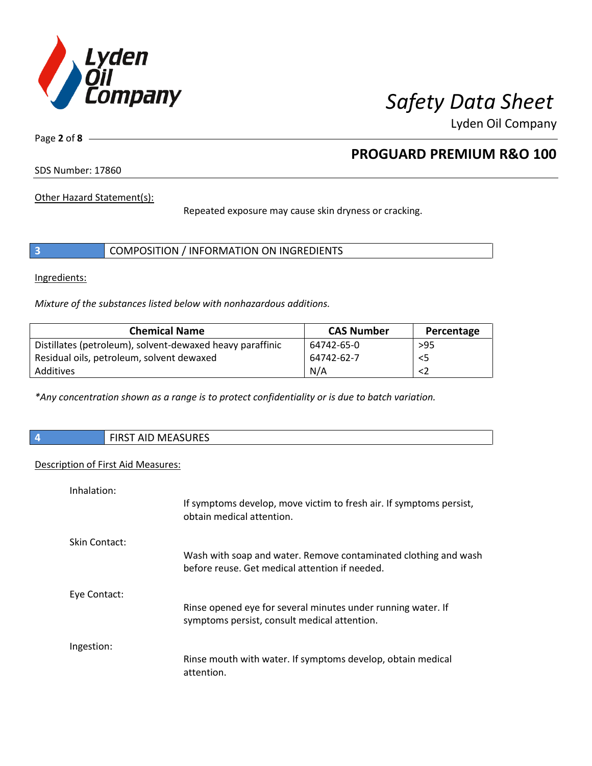

Lyden Oil Company

Page **2** of **8**

## **PROGUARD PREMIUM R&O 100**

SDS Number: 17860

Other Hazard Statement(s):

Repeated exposure may cause skin dryness or cracking.

|  |  | COMPOSITION / INFORMATION ON INGREDIENTS |
|--|--|------------------------------------------|
|--|--|------------------------------------------|

Ingredients:

*Mixture of the substances listed below with nonhazardous additions.* 

| <b>Chemical Name</b>                                      | <b>CAS Number</b> | Percentage |
|-----------------------------------------------------------|-------------------|------------|
| Distillates (petroleum), solvent-dewaxed heavy paraffinic | 64742-65-0        | $>95$      |
| Residual oils, petroleum, solvent dewaxed                 | 64742-62-7        | $<$ 5      |
| Additives                                                 | N/A               |            |

*\*Any concentration shown as a range is to protect confidentiality or is due to batch variation.*

| AID MEASURES<br><b>FIDCT</b><br>ו כחוד |
|----------------------------------------|
|                                        |

#### Description of First Aid Measures:

| Inhalation:   |                                                                                                                   |
|---------------|-------------------------------------------------------------------------------------------------------------------|
|               | If symptoms develop, move victim to fresh air. If symptoms persist,<br>obtain medical attention.                  |
| Skin Contact: |                                                                                                                   |
|               | Wash with soap and water. Remove contaminated clothing and wash<br>before reuse. Get medical attention if needed. |
| Eye Contact:  |                                                                                                                   |
|               | Rinse opened eye for several minutes under running water. If<br>symptoms persist, consult medical attention.      |
| Ingestion:    |                                                                                                                   |
|               | Rinse mouth with water. If symptoms develop, obtain medical<br>attention.                                         |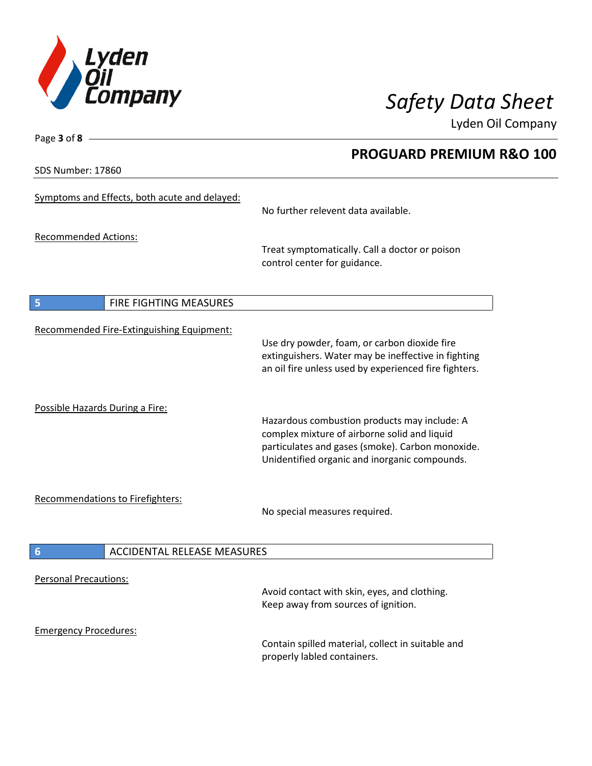

**PROGUARD PREMIUM R&O 100** 

Lyden Oil Company

SDS Number: 17860

Page **3** of **8**

| Symptoms and Effects, both acute and delayed:         | No further relevent data available.                                                                                                                                                               |
|-------------------------------------------------------|---------------------------------------------------------------------------------------------------------------------------------------------------------------------------------------------------|
| <b>Recommended Actions:</b>                           | Treat symptomatically. Call a doctor or poison<br>control center for guidance.                                                                                                                    |
| FIRE FIGHTING MEASURES<br>5                           |                                                                                                                                                                                                   |
| Recommended Fire-Extinguishing Equipment:             | Use dry powder, foam, or carbon dioxide fire<br>extinguishers. Water may be ineffective in fighting<br>an oil fire unless used by experienced fire fighters.                                      |
| Possible Hazards During a Fire:                       | Hazardous combustion products may include: A<br>complex mixture of airborne solid and liquid<br>particulates and gases (smoke). Carbon monoxide.<br>Unidentified organic and inorganic compounds. |
| Recommendations to Firefighters:                      | No special measures required.                                                                                                                                                                     |
| <b>ACCIDENTAL RELEASE MEASURES</b><br>$6\phantom{1}6$ |                                                                                                                                                                                                   |
| <b>Personal Precautions:</b>                          | Avoid contact with skin, eyes, and clothing.<br>Keep away from sources of ignition.                                                                                                               |
| <b>Emergency Procedures:</b>                          |                                                                                                                                                                                                   |
|                                                       | Contain spilled material, collect in suitable and<br>properly labled containers.                                                                                                                  |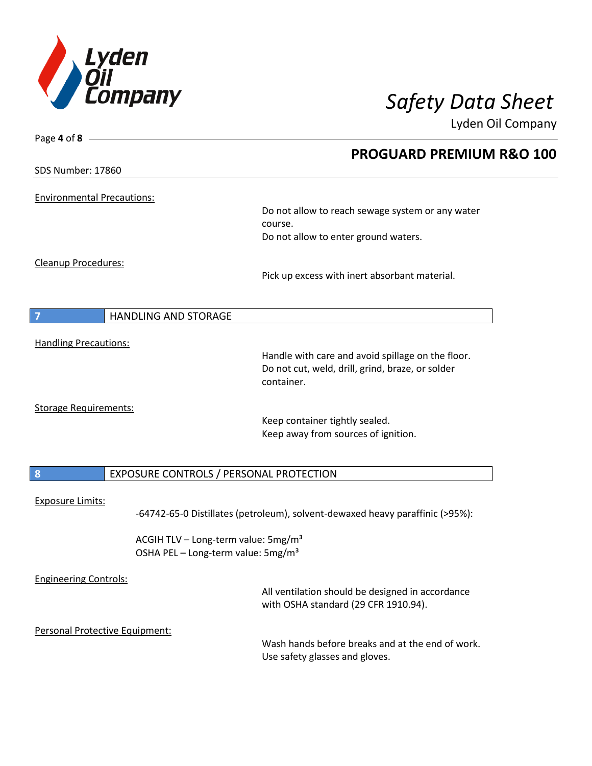

Page **4** of **8**

# *Safety Data Sheet*

Lyden Oil Company

|                                   |                                                 | <b>PROGUARD PREMIUM R&amp;O 100</b>                                           |  |
|-----------------------------------|-------------------------------------------------|-------------------------------------------------------------------------------|--|
| SDS Number: 17860                 |                                                 |                                                                               |  |
| <b>Environmental Precautions:</b> |                                                 |                                                                               |  |
|                                   |                                                 | Do not allow to reach sewage system or any water<br>course.                   |  |
|                                   |                                                 | Do not allow to enter ground waters.                                          |  |
| Cleanup Procedures:               |                                                 |                                                                               |  |
|                                   |                                                 | Pick up excess with inert absorbant material.                                 |  |
|                                   |                                                 |                                                                               |  |
|                                   | <b>HANDLING AND STORAGE</b>                     |                                                                               |  |
|                                   |                                                 |                                                                               |  |
| <b>Handling Precautions:</b>      |                                                 | Handle with care and avoid spillage on the floor.                             |  |
|                                   |                                                 | Do not cut, weld, drill, grind, braze, or solder                              |  |
|                                   |                                                 | container.                                                                    |  |
| <b>Storage Requirements:</b>      |                                                 |                                                                               |  |
|                                   |                                                 | Keep container tightly sealed.                                                |  |
|                                   |                                                 | Keep away from sources of ignition.                                           |  |
|                                   |                                                 |                                                                               |  |
| 8                                 | EXPOSURE CONTROLS / PERSONAL PROTECTION         |                                                                               |  |
| <b>Exposure Limits:</b>           |                                                 |                                                                               |  |
|                                   |                                                 | -64742-65-0 Distillates (petroleum), solvent-dewaxed heavy paraffinic (>95%): |  |
|                                   | ACGIH TLV - Long-term value: 5mg/m <sup>3</sup> |                                                                               |  |
|                                   | OSHA PEL - Long-term value: 5mg/m <sup>3</sup>  |                                                                               |  |
| <b>Engineering Controls:</b>      |                                                 |                                                                               |  |
|                                   |                                                 | All ventilation should be designed in accordance                              |  |
|                                   |                                                 | with OSHA standard (29 CFR 1910.94).                                          |  |
|                                   | Personal Protective Equipment:                  |                                                                               |  |
|                                   |                                                 | Wash hands before breaks and at the end of work.                              |  |
|                                   |                                                 | Use safety glasses and gloves.                                                |  |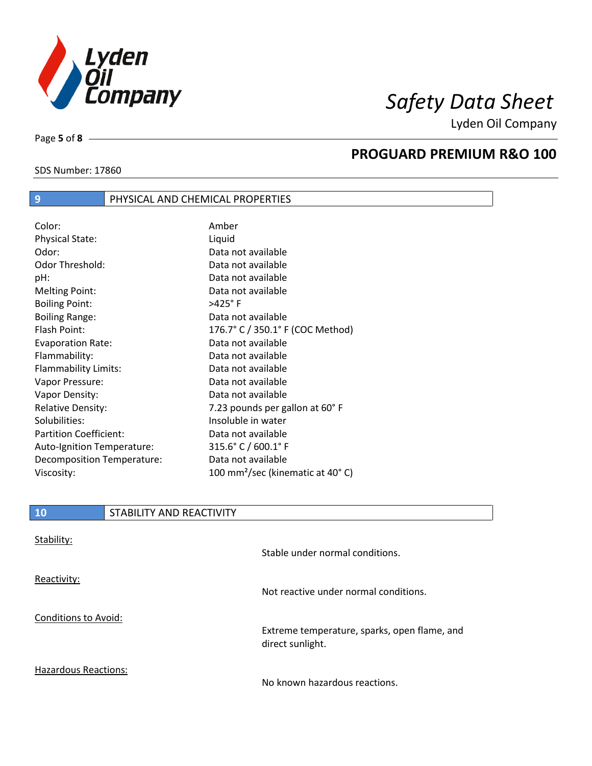

Lyden Oil Company

SDS Number: 17860

Page **5** of **8**

## **PROGUARD PREMIUM R&O 100**

| 9                             | PHYSICAL AND CHEMICAL PROPERTIES |
|-------------------------------|----------------------------------|
|                               |                                  |
| Color:                        | Amber                            |
| <b>Physical State:</b>        | Liquid                           |
| Odor:                         | Data not available               |
| Odor Threshold:               | Data not available               |
| pH:                           | Data not available               |
| <b>Melting Point:</b>         | Data not available               |
| <b>Boiling Point:</b>         | $>425^\circ$ F                   |
| <b>Boiling Range:</b>         | Data not available               |
| Flash Point:                  | 176.7° C / 350.1° F (COC Method) |
| <b>Evaporation Rate:</b>      | Data not available               |
| Flammability:                 | Data not available               |
| Flammability Limits:          | Data not available               |
| Vapor Pressure:               | Data not available               |
| Vapor Density:                | Data not available               |
| <b>Relative Density:</b>      | 7.23 pounds per gallon at 60° F  |
| Solubilities:                 | Insoluble in water               |
| <b>Partition Coefficient:</b> | Data not available               |
| Auto-Ignition Temperature:    | 315.6° C / 600.1° F              |
| Decomposition Temperature:    | Data not available               |

Viscosity: 100 mm²/sec (kinematic at 40° C)

### **10** STABILITY AND REACTIVITY

| Stability:                  | Stable under normal conditions.                                  |
|-----------------------------|------------------------------------------------------------------|
| Reactivity:                 | Not reactive under normal conditions.                            |
| Conditions to Avoid:        | Extreme temperature, sparks, open flame, and<br>direct sunlight. |
| <b>Hazardous Reactions:</b> | No known hazardous reactions.                                    |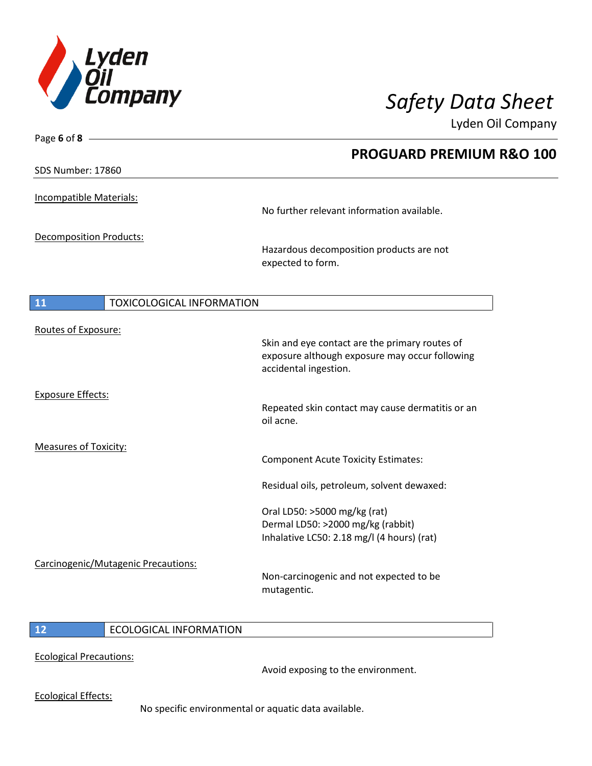

Lyden Oil Company

| Page 6 of 8                         |                                                                                 |
|-------------------------------------|---------------------------------------------------------------------------------|
|                                     | <b>PROGUARD PREMIUM R&amp;O 100</b>                                             |
| <b>SDS Number: 17860</b>            |                                                                                 |
| Incompatible Materials:             |                                                                                 |
|                                     | No further relevant information available.                                      |
| <b>Decomposition Products:</b>      |                                                                                 |
|                                     | Hazardous decomposition products are not<br>expected to form.                   |
| 11<br>TOXICOLOGICAL INFORMATION     |                                                                                 |
|                                     |                                                                                 |
| Routes of Exposure:                 | Skin and eye contact are the primary routes of                                  |
|                                     | exposure although exposure may occur following<br>accidental ingestion.         |
| <b>Exposure Effects:</b>            |                                                                                 |
|                                     | Repeated skin contact may cause dermatitis or an<br>oil acne.                   |
| <b>Measures of Toxicity:</b>        |                                                                                 |
|                                     | <b>Component Acute Toxicity Estimates:</b>                                      |
|                                     | Residual oils, petroleum, solvent dewaxed:                                      |
|                                     | Oral LD50: >5000 mg/kg (rat)                                                    |
|                                     | Dermal LD50: >2000 mg/kg (rabbit)<br>Inhalative LC50: 2.18 mg/l (4 hours) (rat) |
|                                     |                                                                                 |
| Carcinogenic/Mutagenic Precautions: |                                                                                 |
|                                     | Non-carcinogenic and not expected to be<br>mutagentic.                          |
|                                     |                                                                                 |

### **12** ECOLOGICAL INFORMATION

Ecological Precautions:

Avoid exposing to the environment.

Ecological Effects:

No specific environmental or aquatic data available.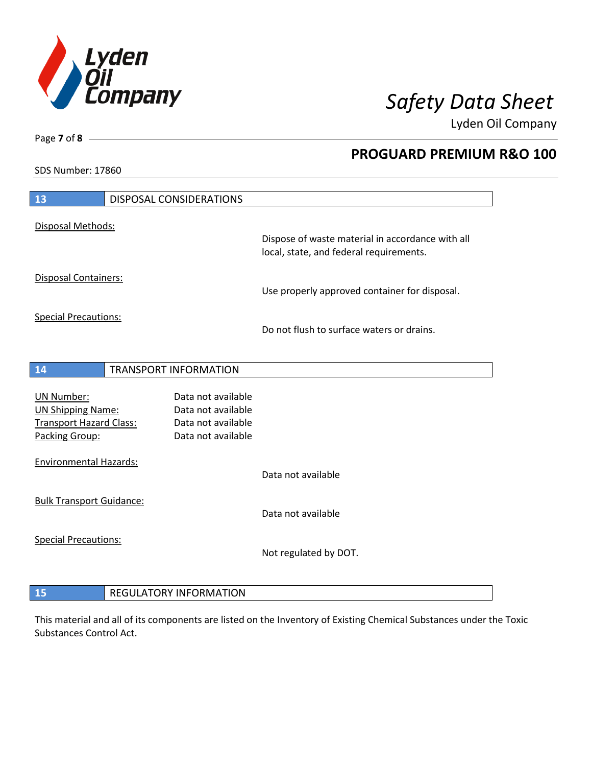

**PROGUARD PREMIUM R&O 100** 

Lyden Oil Company

SDS Number: 17860

| 13                                                                                                |                              | DISPOSAL CONSIDERATIONS                                                              |                                                                                             |
|---------------------------------------------------------------------------------------------------|------------------------------|--------------------------------------------------------------------------------------|---------------------------------------------------------------------------------------------|
| Disposal Methods:                                                                                 |                              |                                                                                      |                                                                                             |
|                                                                                                   |                              |                                                                                      | Dispose of waste material in accordance with all<br>local, state, and federal requirements. |
| Disposal Containers:                                                                              |                              |                                                                                      | Use properly approved container for disposal.                                               |
| <b>Special Precautions:</b>                                                                       |                              |                                                                                      |                                                                                             |
|                                                                                                   |                              |                                                                                      | Do not flush to surface waters or drains.                                                   |
| 14                                                                                                | <b>TRANSPORT INFORMATION</b> |                                                                                      |                                                                                             |
| <b>UN Number:</b><br><b>UN Shipping Name:</b><br><b>Transport Hazard Class:</b><br>Packing Group: |                              | Data not available<br>Data not available<br>Data not available<br>Data not available |                                                                                             |
| <b>Environmental Hazards:</b>                                                                     |                              |                                                                                      | Data not available                                                                          |
| <b>Bulk Transport Guidance:</b>                                                                   |                              |                                                                                      | Data not available                                                                          |
| <b>Special Precautions:</b>                                                                       |                              |                                                                                      | Not regulated by DOT.                                                                       |
| 15                                                                                                |                              | <b>REGULATORY INFORMATION</b>                                                        |                                                                                             |

This material and all of its components are listed on the Inventory of Existing Chemical Substances under the Toxic Substances Control Act.

Page **7** of **8**